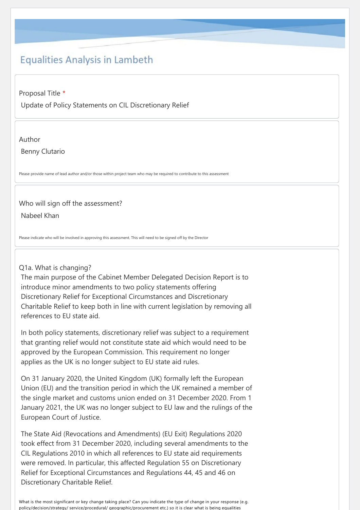# **Equalities Analysis in Lambeth**

Proposal Title \*

Update of Policy Statements on CIL Discretionary Relief

Author

Benny Clutario

Please provide name of lead author and/or those within project team who may be required to contribute to this assessment

# Who will sign off the assessment?

Nabeel Khan

Please indicate who will be involved in approving this assessment. This will need to be signed off by the Director

# Q1a. What is changing?

The main purpose of the Cabinet Member Delegated Decision Report is to introduce minor amendments to two policy statements offering Discretionary Relief for Exceptional Circumstances and Discretionary Charitable Relief to keep both in line with current legislation by removing all references to EU state aid.

In both policy statements, discretionary relief was subject to a requirement that granting relief would not constitute state aid which would need to be approved by the European Commission. This requirement no longer applies as the UK is no longer subject to EU state aid rules.

On 31 January 2020, the United Kingdom (UK) formally left the European Union (EU) and the transition period in which the UK remained a member of the single market and customs union ended on 31 December 2020. From 1 January 2021, the UK was no longer subject to EU law and the rulings of the European Court of Justice.

The State Aid (Revocations and Amendments) (EU Exit) Regulations 2020 took effect from 31 December 2020, including several amendments to the CIL Regulations 2010 in which all references to EU state aid requirements were removed. In particular, this affected Regulation 55 on Discretionary Relief for Exceptional Circumstances and Regulations 44, 45 and 46 on Discretionary Charitable Relief.

What is the most significant or key change taking place? Can you indicate the type of change in your response (e.g. policy/decision/strategy/ service/procedural/ geographic/procurement etc.) so it is clear what is being equalities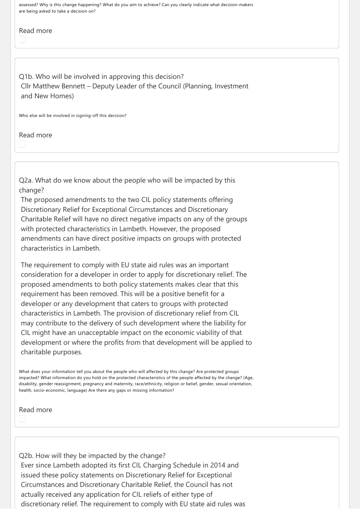assessed? Why is this change happening? What do you aim to achieve? Can you clearly indicate what decision‐makers are being asked to take a decision on?

# Read more

Q1b. Who will be involved in approving this decision? Cllr Matthew Bennett – Deputy Leader of the Council (Planning, Investment and New Homes)

Who else will be involved in signing-off this decision?

Read more

Q2a. What do we know about the people who will be impacted by this change?

The proposed amendments to the two CIL policy statements offering Discretionary Relief for Exceptional Circumstances and Discretionary Charitable Relief will have no direct negative impacts on any of the groups with protected characteristics in Lambeth. However, the proposed amendments can have direct positive impacts on groups with protected characteristics in Lambeth.

The requirement to comply with EU state aid rules was an important consideration for a developer in order to apply for discretionary relief. The proposed amendments to both policy statements makes clear that this requirement has been removed. This will be a positive benefit for a developer or any development that caters to groups with protected characteristics in Lambeth. The provision of discretionary relief from CIL may contribute to the delivery of such development where the liability for CIL might have an unacceptable impact on the economic viability of that development or where the profits from that development will be applied to charitable purposes.

What does your information tell you about the people who will affected by this change? Are protected groups impacted? What information do you hold on the protected characteristics of the people affected by the change? (Age, disability, gender reassignment, pregnancy and maternity, race/ethnicity, religion or belief, gender, sexual orientation, health, socio-economic, language) Are there any gaps or missing information?

Read more

Q2b. How will they be impacted by the change? Ever since Lambeth adopted its first CIL Charging Schedule in 2014 and issued these policy statements on Discretionary Relief for Exceptional Circumstances and Discretionary Charitable Relief, the Council has not actually received any application for CIL reliefs of either type of discretionary relief. The requirement to comply with EU state aid rules was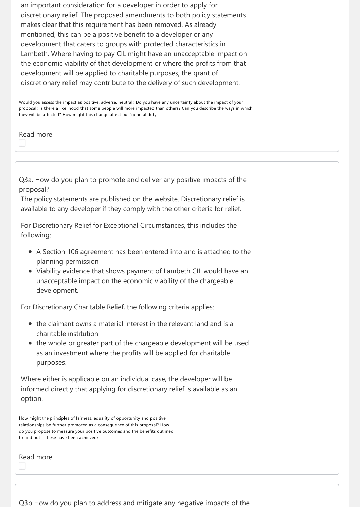an important consideration for a developer in order to apply for discretionary relief. The proposed amendments to both policy statements makes clear that this requirement has been removed. As already mentioned, this can be a positive benefit to a developer or any development that caters to groups with protected characteristics in Lambeth. Where having to pay CIL might have an unacceptable impact on the economic viability of that development or where the profits from that development will be applied to charitable purposes, the grant of discretionary relief may contribute to the delivery of such development.

Would you assess the impact as positive, adverse, neutral? Do you have any uncertainty about the impact of your proposal? Is there a likelihood that some people will more impacted than others? Can you describe the ways in which they will be affected? How might this change affect our 'general duty'

Read more

Q3a. How do you plan to promote and deliver any positive impacts of the proposal?

The policy statements are published on the website. Discretionary relief is available to any developer if they comply with the other criteria for relief.

For Discretionary Relief for Exceptional Circumstances, this includes the following:

- A Section 106 agreement has been entered into and is attached to the planning permission
- Viability evidence that shows payment of Lambeth CIL would have an unacceptable impact on the economic viability of the chargeable development.

For Discretionary Charitable Relief, the following criteria applies:

- the claimant owns a material interest in the relevant land and is a charitable institution
- the whole or greater part of the chargeable development will be used as an investment where the profits will be applied for charitable purposes.

Where either is applicable on an individual case, the developer will be informed directly that applying for discretionary relief is available as an option.

How might the principles of fairness, equality of opportunity and positive relationships be further promoted as a consequence of this proposal? How do you propose to measure your positive outcomes and the benefits outlined to find out if these have been achieved?

Read more

Q3b How do you plan to address and mitigate any negative impacts of the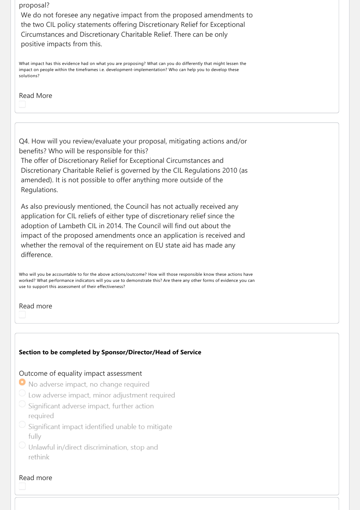#### proposal?

We do not foresee any negative impact from the proposed amendments to the two CIL policy statements offering Discretionary Relief for Exceptional Circumstances and Discretionary Charitable Relief. There can be only positive impacts from this.

What impact has this evidence had on what you are proposing? What can you do differently that might lessen the impact on people within the timeframes i.e. development-implementation? Who can help you to develop these solutions?

## Read More

Q4. How will you review/evaluate your proposal, mitigating actions and/or benefits? Who will be responsible for this? The offer of Discretionary Relief for Exceptional Circumstances and Discretionary Charitable Relief is governed by the CIL Regulations 2010 (as amended). It is not possible to offer anything more outside of the Regulations.

As also previously mentioned, the Council has not actually received any application for CIL reliefs of either type of discretionary relief since the adoption of Lambeth CIL in 2014. The Council will find out about the impact of the proposed amendments once an application is received and whether the removal of the requirement on EU state aid has made any difference.

Who will you be accountable to for the above actions/outcome? How will those responsible know these actions have worked? What performance indicators will you use to demonstrate this? Are there any other forms of evidence you can use to support this assessment of their effectiveness?

### Read more

### **Section to be completed by Sponsor/Director/Head of Service**

#### Outcome of equality impact assessment

- No adverse impact, no change required
- $\circlearrowright$  Low adverse impact, minor adjustment required
- Significant adverse impact, further action reauired
- Significant impact identified unable to mitigate fully
- Unlawful in/direct discrimination, stop and rethink

#### Read more